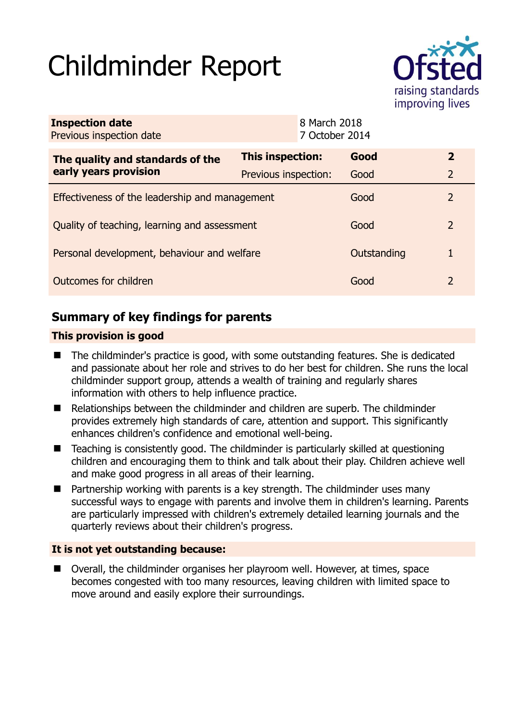# Childminder Report



| <b>Inspection date</b><br>Previous inspection date        |                      | 8 March 2018<br>7 October 2014 |             |                |
|-----------------------------------------------------------|----------------------|--------------------------------|-------------|----------------|
| The quality and standards of the<br>early years provision | This inspection:     |                                | Good        | $\mathbf{2}$   |
|                                                           | Previous inspection: |                                | Good        | $\overline{2}$ |
| Effectiveness of the leadership and management            |                      |                                | Good        | $\mathcal{P}$  |
| Quality of teaching, learning and assessment              |                      |                                | Good        | $\mathcal{P}$  |
| Personal development, behaviour and welfare               |                      |                                | Outstanding | 1              |
| Outcomes for children                                     |                      |                                | Good        | $\mathcal{L}$  |

## **Summary of key findings for parents**

## **This provision is good**

- The childminder's practice is good, with some outstanding features. She is dedicated and passionate about her role and strives to do her best for children. She runs the local childminder support group, attends a wealth of training and regularly shares information with others to help influence practice.
- Relationships between the childminder and children are superb. The childminder provides extremely high standards of care, attention and support. This significantly enhances children's confidence and emotional well-being.
- Teaching is consistently good. The childminder is particularly skilled at questioning children and encouraging them to think and talk about their play. Children achieve well and make good progress in all areas of their learning.
- **Partnership working with parents is a key strength. The childminder uses many** successful ways to engage with parents and involve them in children's learning. Parents are particularly impressed with children's extremely detailed learning journals and the quarterly reviews about their children's progress.

## **It is not yet outstanding because:**

 Overall, the childminder organises her playroom well. However, at times, space becomes congested with too many resources, leaving children with limited space to move around and easily explore their surroundings.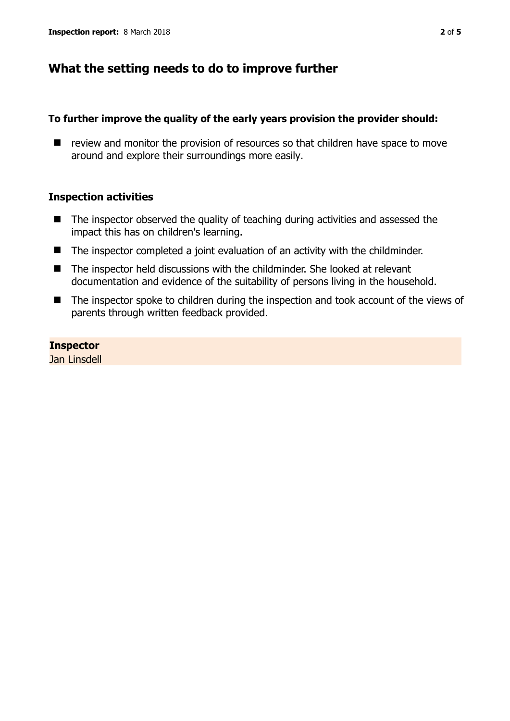## **What the setting needs to do to improve further**

#### **To further improve the quality of the early years provision the provider should:**

 $\blacksquare$  review and monitor the provision of resources so that children have space to move around and explore their surroundings more easily.

#### **Inspection activities**

- $\blacksquare$  The inspector observed the quality of teaching during activities and assessed the impact this has on children's learning.
- The inspector completed a joint evaluation of an activity with the childminder.
- The inspector held discussions with the childminder. She looked at relevant documentation and evidence of the suitability of persons living in the household.
- The inspector spoke to children during the inspection and took account of the views of parents through written feedback provided.

**Inspector**  Jan Linsdell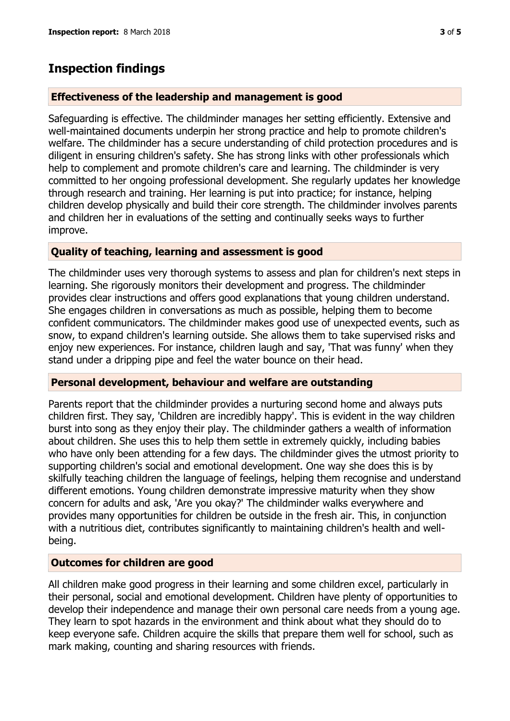## **Inspection findings**

## **Effectiveness of the leadership and management is good**

Safeguarding is effective. The childminder manages her setting efficiently. Extensive and well-maintained documents underpin her strong practice and help to promote children's welfare. The childminder has a secure understanding of child protection procedures and is diligent in ensuring children's safety. She has strong links with other professionals which help to complement and promote children's care and learning. The childminder is very committed to her ongoing professional development. She regularly updates her knowledge through research and training. Her learning is put into practice; for instance, helping children develop physically and build their core strength. The childminder involves parents and children her in evaluations of the setting and continually seeks ways to further improve.

## **Quality of teaching, learning and assessment is good**

The childminder uses very thorough systems to assess and plan for children's next steps in learning. She rigorously monitors their development and progress. The childminder provides clear instructions and offers good explanations that young children understand. She engages children in conversations as much as possible, helping them to become confident communicators. The childminder makes good use of unexpected events, such as snow, to expand children's learning outside. She allows them to take supervised risks and enjoy new experiences. For instance, children laugh and say, 'That was funny' when they stand under a dripping pipe and feel the water bounce on their head.

### **Personal development, behaviour and welfare are outstanding**

Parents report that the childminder provides a nurturing second home and always puts children first. They say, 'Children are incredibly happy'. This is evident in the way children burst into song as they enjoy their play. The childminder gathers a wealth of information about children. She uses this to help them settle in extremely quickly, including babies who have only been attending for a few days. The childminder gives the utmost priority to supporting children's social and emotional development. One way she does this is by skilfully teaching children the language of feelings, helping them recognise and understand different emotions. Young children demonstrate impressive maturity when they show concern for adults and ask, 'Are you okay?' The childminder walks everywhere and provides many opportunities for children be outside in the fresh air. This, in conjunction with a nutritious diet, contributes significantly to maintaining children's health and wellbeing.

### **Outcomes for children are good**

All children make good progress in their learning and some children excel, particularly in their personal, social and emotional development. Children have plenty of opportunities to develop their independence and manage their own personal care needs from a young age. They learn to spot hazards in the environment and think about what they should do to keep everyone safe. Children acquire the skills that prepare them well for school, such as mark making, counting and sharing resources with friends.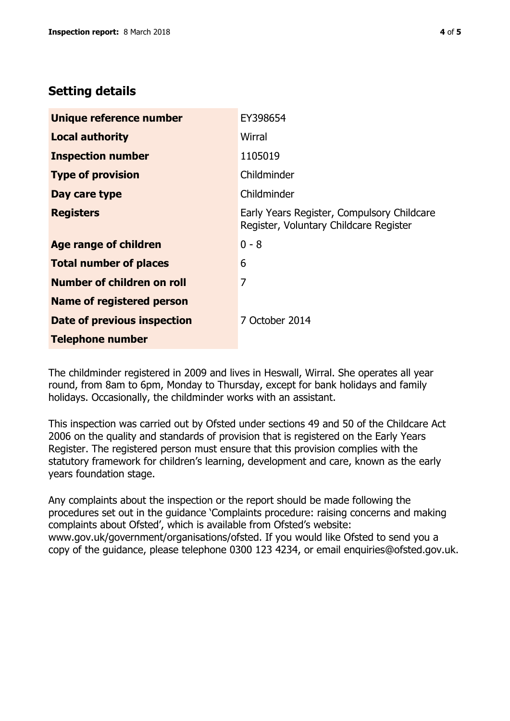## **Setting details**

| Unique reference number          | EY398654                                                                             |  |
|----------------------------------|--------------------------------------------------------------------------------------|--|
| <b>Local authority</b>           | Wirral                                                                               |  |
| <b>Inspection number</b>         | 1105019                                                                              |  |
| <b>Type of provision</b>         | Childminder                                                                          |  |
| Day care type                    | Childminder                                                                          |  |
| <b>Registers</b>                 | Early Years Register, Compulsory Childcare<br>Register, Voluntary Childcare Register |  |
| <b>Age range of children</b>     | $0 - 8$                                                                              |  |
| <b>Total number of places</b>    | 6                                                                                    |  |
| Number of children on roll       | 7                                                                                    |  |
| <b>Name of registered person</b> |                                                                                      |  |
| Date of previous inspection      | 7 October 2014                                                                       |  |
| <b>Telephone number</b>          |                                                                                      |  |

The childminder registered in 2009 and lives in Heswall, Wirral. She operates all year round, from 8am to 6pm, Monday to Thursday, except for bank holidays and family holidays. Occasionally, the childminder works with an assistant.

This inspection was carried out by Ofsted under sections 49 and 50 of the Childcare Act 2006 on the quality and standards of provision that is registered on the Early Years Register. The registered person must ensure that this provision complies with the statutory framework for children's learning, development and care, known as the early years foundation stage.

Any complaints about the inspection or the report should be made following the procedures set out in the guidance 'Complaints procedure: raising concerns and making complaints about Ofsted', which is available from Ofsted's website: www.gov.uk/government/organisations/ofsted. If you would like Ofsted to send you a copy of the guidance, please telephone 0300 123 4234, or email enquiries@ofsted.gov.uk.